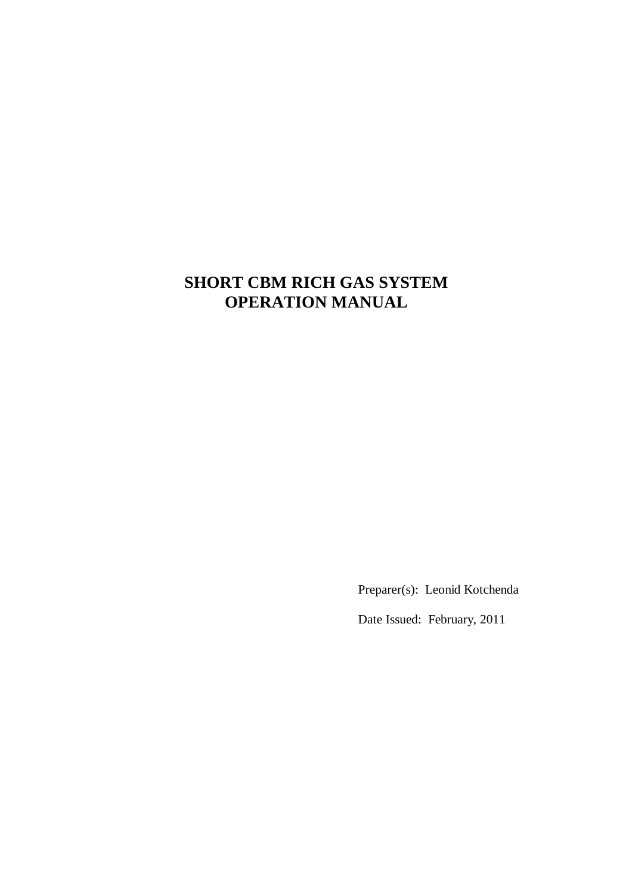# **SHORT CBM RICH GAS SYSTEM OPERATION MANUAL**

Preparer(s): Leonid Kotchenda

Date Issued: February, 2011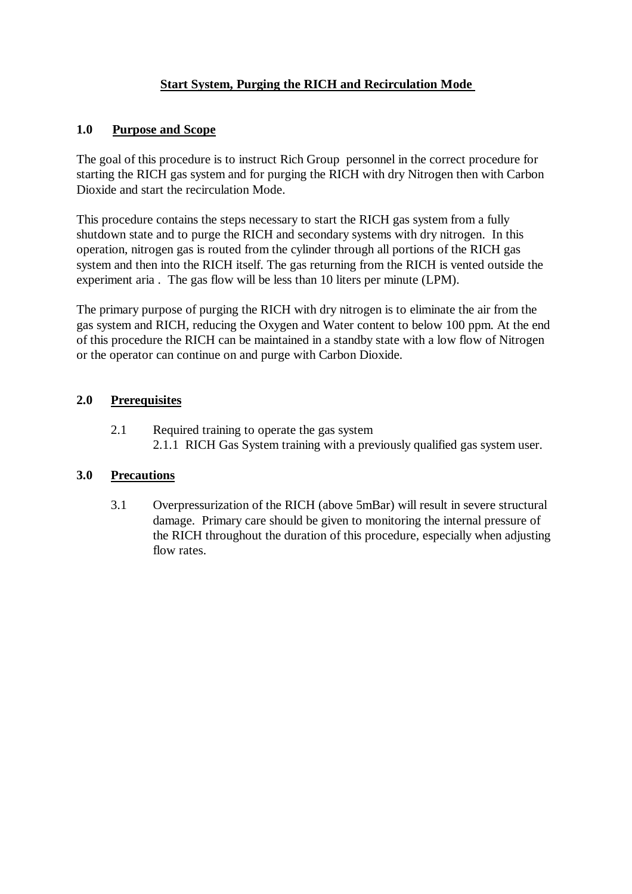# **Start System, Purging the RICH and Recirculation Mode**

# **1.0 Purpose and Scope**

The goal of this procedure is to instruct Rich Group personnel in the correct procedure for starting the RICH gas system and for purging the RICH with dry Nitrogen then with Carbon Dioxide and start the recirculation Mode.

This procedure contains the steps necessary to start the RICH gas system from a fully shutdown state and to purge the RICH and secondary systems with dry nitrogen. In this operation, nitrogen gas is routed from the cylinder through all portions of the RICH gas system and then into the RICH itself. The gas returning from the RICH is vented outside the experiment aria . The gas flow will be less than 10 liters per minute (LPM).

The primary purpose of purging the RICH with dry nitrogen is to eliminate the air from the gas system and RICH, reducing the Oxygen and Water content to below 100 ppm. At the end of this procedure the RICH can be maintained in a standby state with a low flow of Nitrogen or the operator can continue on and purge with Carbon Dioxide.

# **2.0 Prerequisites**

2.1 Required training to operate the gas system 2.1.1 RICH Gas System training with a previously qualified gas system user.

## **3.0 Precautions**

3.1 Overpressurization of the RICH (above 5mBar) will result in severe structural damage. Primary care should be given to monitoring the internal pressure of the RICH throughout the duration of this procedure, especially when adjusting flow rates.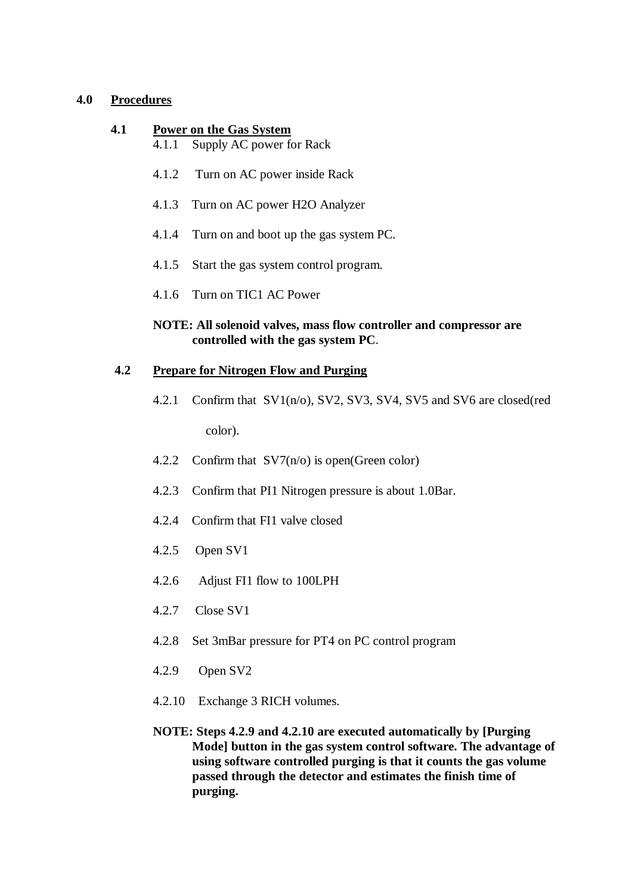# **4.0 Procedures**

## **4.1 Power on the Gas System**

- 4.1.1 Supply AC power for Rack
- 4.1.2 Turn on AC power inside Rack
- 4.1.3 Turn on AC power H2O Analyzer
- 4.1.4 Turn on and boot up the gas system PC.
- 4.1.5 Start the gas system control program.
- 4.1.6 Turn on TIC1 AC Power

## **NOTE: All solenoid valves, mass flow controller and compressor are controlled with the gas system PC**.

## **4.2 Prepare for Nitrogen Flow and Purging**

- 4.2.1 Confirm that SV1(n/o), SV2, SV3, SV4, SV5 and SV6 are closed(red color).
- 4.2.2 Confirm that SV7(n/o) is open(Green color)
- 4.2.3 Confirm that PI1 Nitrogen pressure is about 1.0Bar.
- 4.2.4 Confirm that FI1 valve closed
- 4.2.5 Open SV1
- 4.2.6 Adjust FI1 flow to 100LPH
- 4.2.7 Close SV1
- 4.2.8 Set 3mBar pressure for PT4 on PC control program
- 4.2.9 Open SV2
- 4.2.10 Exchange 3 RICH volumes.
- **NOTE: Steps 4.2.9 and 4.2.10 are executed automatically by [Purging Mode] button in the gas system control software. The advantage of using software controlled purging is that it counts the gas volume passed through the detector and estimates the finish time of purging.**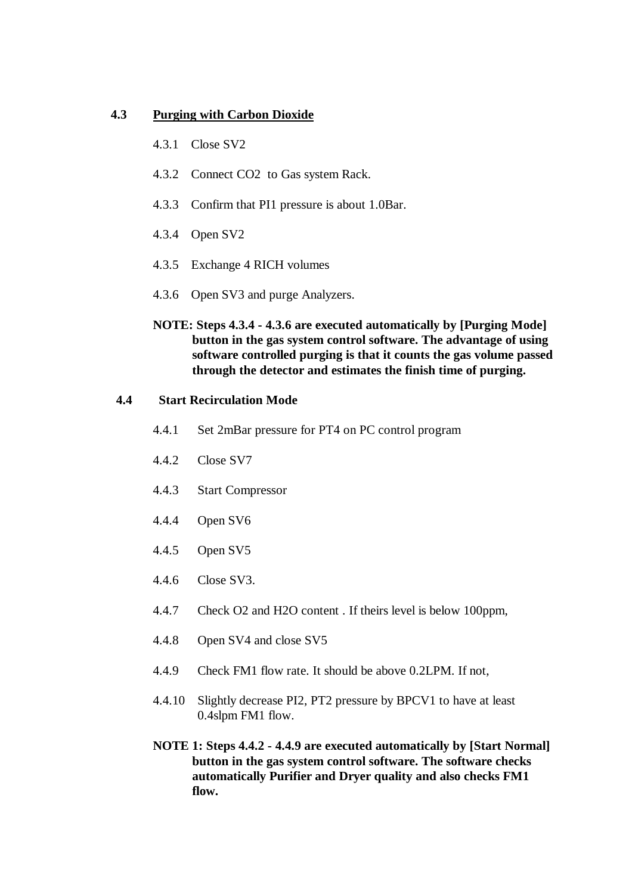#### **4.3 Purging with Carbon Dioxide**

- 4.3.1 Close SV2
- 4.3.2 Connect CO2 to Gas system Rack.
- 4.3.3 Confirm that PI1 pressure is about 1.0Bar.
- 4.3.4 Open SV2
- 4.3.5 Exchange 4 RICH volumes
- 4.3.6 Open SV3 and purge Analyzers.
- **NOTE: Steps 4.3.4 - 4.3.6 are executed automatically by [Purging Mode] button in the gas system control software. The advantage of using software controlled purging is that it counts the gas volume passed through the detector and estimates the finish time of purging.**

#### **4.4 Start Recirculation Mode**

- 4.4.1 Set 2mBar pressure for PT4 on PC control program
- 4.4.2 Close SV7
- 4.4.3 Start Compressor
- 4.4.4 Open SV6
- 4.4.5 Open SV5
- 4.4.6 Close SV3.
- 4.4.7 Check O2 and H2O content . If theirs level is below 100ppm,
- 4.4.8 Open SV4 and close SV5
- 4.4.9 Check FM1 flow rate. It should be above 0.2LPM. If not,
- 4.4.10 Slightly decrease PI2, PT2 pressure by BPCV1 to have at least 0.4slpm FM1 flow.
- **NOTE 1: Steps 4.4.2 - 4.4.9 are executed automatically by [Start Normal] button in the gas system control software. The software checks automatically Purifier and Dryer quality and also checks FM1 flow.**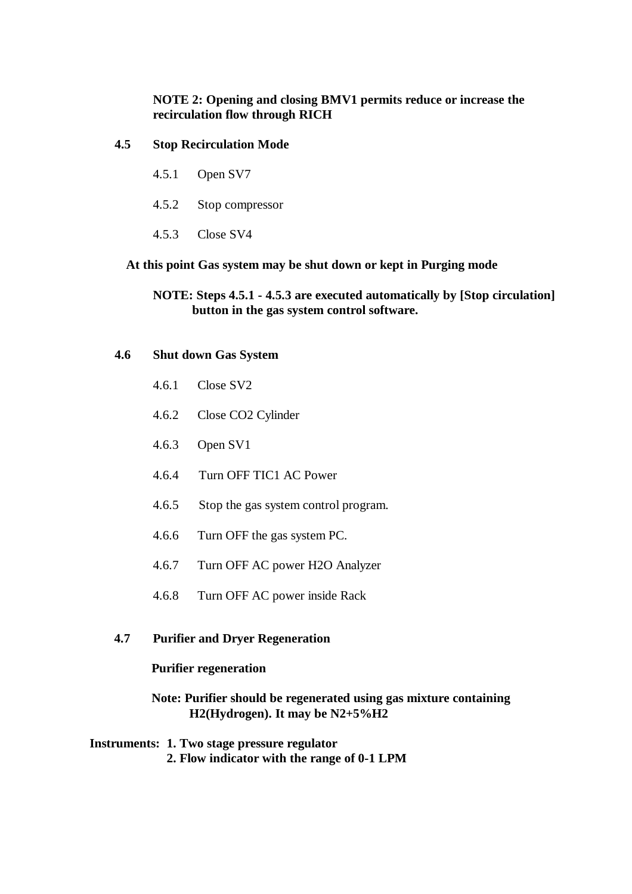# **NOTE 2: Opening and closing BMV1 permits reduce or increase the recirculation flow through RICH**

# **4.5 Stop Recirculation Mode**

- 4.5.1 Open SV7
- 4.5.2 Stop compressor
- 4.5.3 Close SV4

**At this point Gas system may be shut down or kept in Purging mode** 

**NOTE: Steps 4.5.1 - 4.5.3 are executed automatically by [Stop circulation] button in the gas system control software.**

## **4.6 Shut down Gas System**

- 4.6.1 Close SV2
- 4.6.2 Close CO2 Cylinder
- 4.6.3 Open SV1
- 4.6.4 Turn OFF TIC1 AC Power
- 4.6.5 Stop the gas system control program.
- 4.6.6 Turn OFF the gas system PC.
- 4.6.7 Turn OFF AC power H2O Analyzer
- 4.6.8 Turn OFF AC power inside Rack

## **4.7 Purifier and Dryer Regeneration**

# **Purifier regeneration**

## **Note: Purifier should be regenerated using gas mixture containing H2(Hydrogen). It may be N2+5%H2**

 **Instruments: 1. Two stage pressure regulator 2. Flow indicator with the range of 0-1 LPM**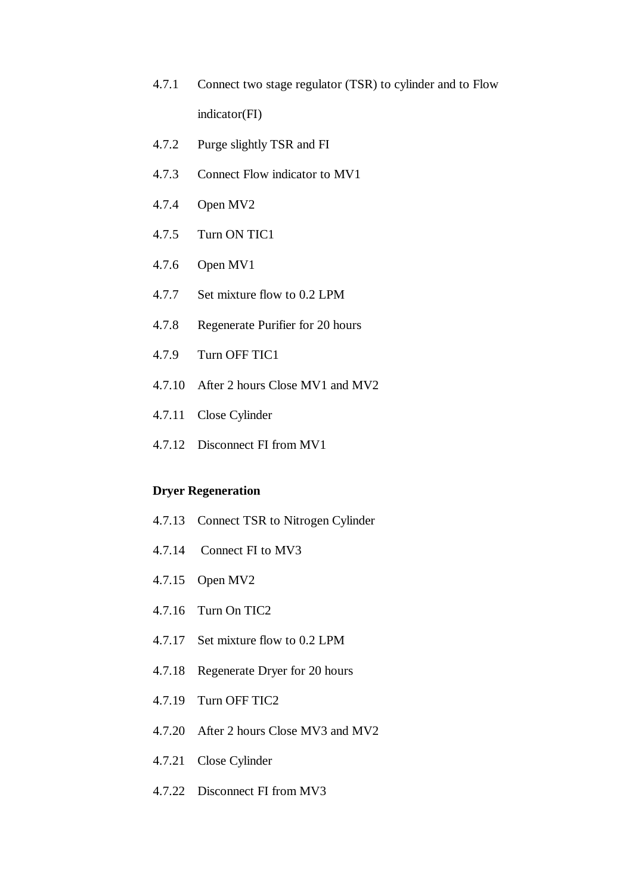- 4.7.1 Connect two stage regulator (TSR) to cylinder and to Flow indicator(FI)
- 4.7.2 Purge slightly TSR and FI
- 4.7.3 Connect Flow indicator to MV1
- 4.7.4 Open MV2
- 4.7.5 Turn ON TIC1
- 4.7.6 Open MV1
- 4.7.7 Set mixture flow to 0.2 LPM
- 4.7.8 Regenerate Purifier for 20 hours
- 4.7.9 Turn OFF TIC1
- 4.7.10 After 2 hours Close MV1 and MV2
- 4.7.11 Close Cylinder
- 4.7.12 Disconnect FI from MV1

# **Dryer Regeneration**

- 4.7.13 Connect TSR to Nitrogen Cylinder
- 4.7.14 Connect FI to MV3
- 4.7.15 Open MV2
- 4.7.16 Turn On TIC2
- 4.7.17 Set mixture flow to 0.2 LPM
- 4.7.18 Regenerate Dryer for 20 hours
- 4.7.19 Turn OFF TIC2
- 4.7.20 After 2 hours Close MV3 and MV2
- 4.7.21 Close Cylinder
- 4.7.22 Disconnect FI from MV3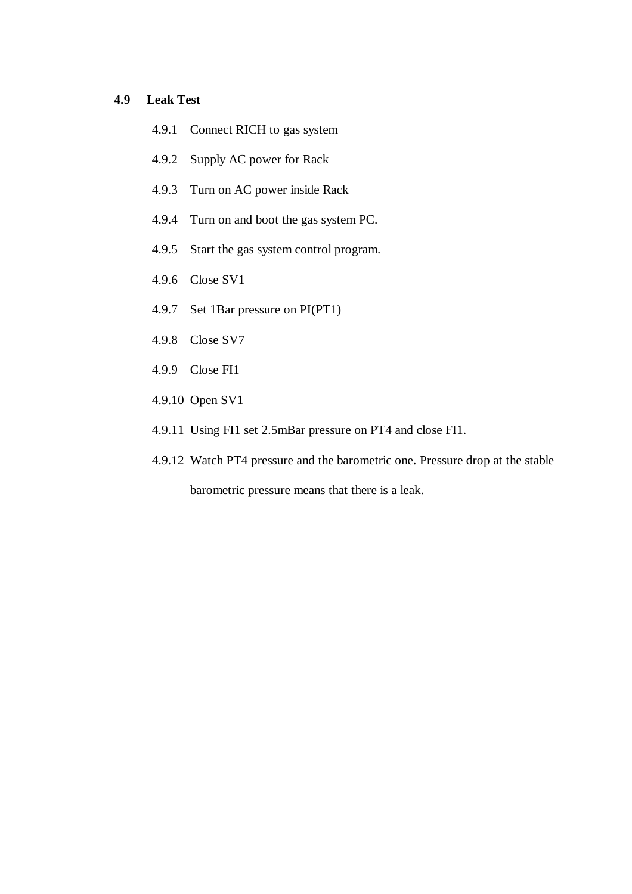# **4.9 Leak Test**

- 4.9.1 Connect RICH to gas system
- 4.9.2 Supply AC power for Rack
- 4.9.3 Turn on AC power inside Rack
- 4.9.4 Turn on and boot the gas system PC.
- 4.9.5 Start the gas system control program.
- 4.9.6 Close SV1
- 4.9.7 Set 1Bar pressure on PI(PT1)
- 4.9.8 Close SV7
- 4.9.9 Close FI1
- 4.9.10 Open SV1
- 4.9.11 Using FI1 set 2.5mBar pressure on PT4 and close FI1.
- 4.9.12 Watch PT4 pressure and the barometric one. Pressure drop at the stable

barometric pressure means that there is a leak.